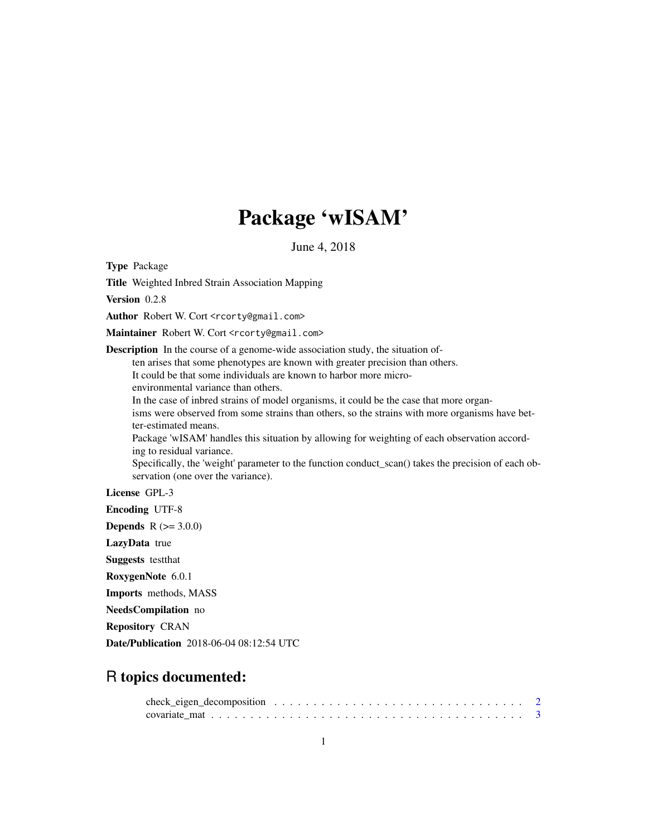## Package 'wISAM'

June 4, 2018

Type Package

Title Weighted Inbred Strain Association Mapping

Version 0.2.8

Author Robert W. Cort <rcorty@gmail.com>

Maintainer Robert W. Cort <rcorty@gmail.com>

Description In the course of a genome-wide association study, the situation of-

ten arises that some phenotypes are known with greater precision than others.

It could be that some individuals are known to harbor more micro-

environmental variance than others.

In the case of inbred strains of model organisms, it could be the case that more organisms were observed from some strains than others, so the strains with more organisms have better-estimated means.

Package 'wISAM' handles this situation by allowing for weighting of each observation according to residual variance.

Specifically, the 'weight' parameter to the function conduct\_scan() takes the precision of each observation (one over the variance).

License GPL-3

Encoding UTF-8

**Depends**  $R (= 3.0.0)$ 

LazyData true

Suggests testthat

RoxygenNote 6.0.1

Imports methods, MASS

NeedsCompilation no

Repository CRAN

Date/Publication 2018-06-04 08:12:54 UTC

### R topics documented: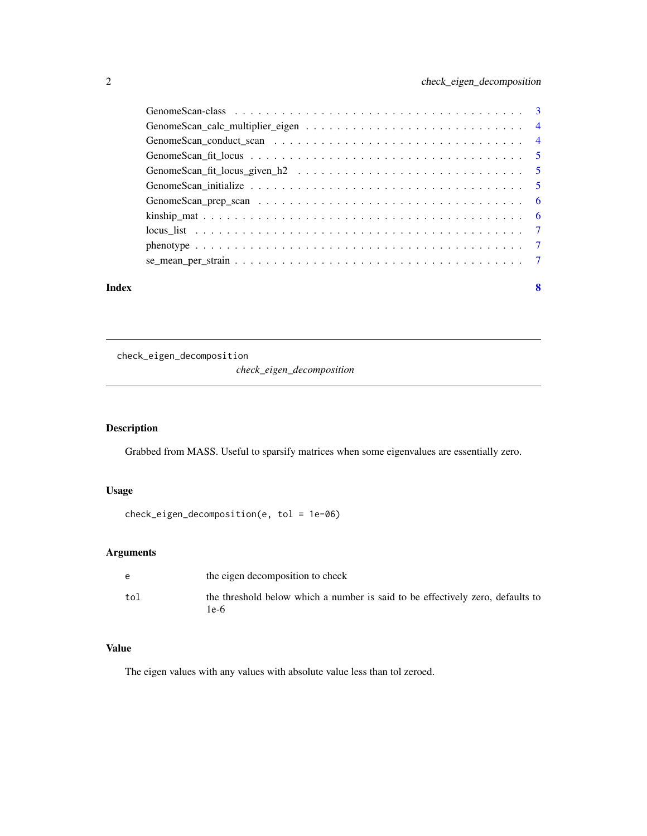<span id="page-1-0"></span>

| Index | 8 |
|-------|---|

check\_eigen\_decomposition

*check\_eigen\_decomposition*

#### Description

Grabbed from MASS. Useful to sparsify matrices when some eigenvalues are essentially zero.

#### Usage

check\_eigen\_decomposition(e, tol = 1e-06)

#### Arguments

|     | the eigen decomposition to check                                                       |
|-----|----------------------------------------------------------------------------------------|
| tol | the threshold below which a number is said to be effectively zero, defaults to<br>le-6 |

#### Value

The eigen values with any values with absolute value less than tol zeroed.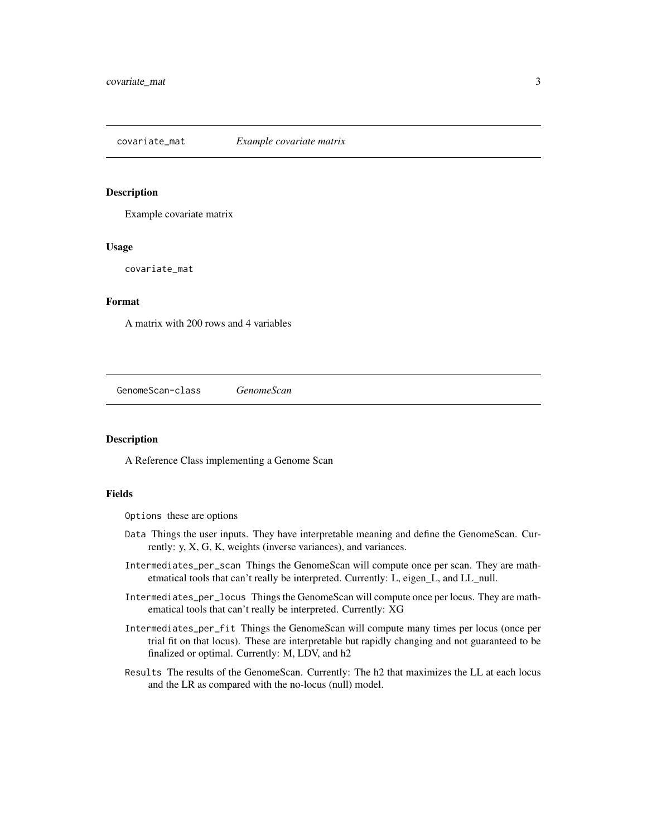<span id="page-2-0"></span>covariate\_mat *Example covariate matrix*

#### Description

Example covariate matrix

#### Usage

covariate\_mat

#### Format

A matrix with 200 rows and 4 variables

GenomeScan-class *GenomeScan*

#### Description

A Reference Class implementing a Genome Scan

#### Fields

Options these are options

- Data Things the user inputs. They have interpretable meaning and define the GenomeScan. Currently: y, X, G, K, weights (inverse variances), and variances.
- Intermediates\_per\_scan Things the GenomeScan will compute once per scan. They are mathetmatical tools that can't really be interpreted. Currently: L, eigen\_L, and LL\_null.
- Intermediates\_per\_locus Things the GenomeScan will compute once per locus. They are mathematical tools that can't really be interpreted. Currently: XG
- Intermediates\_per\_fit Things the GenomeScan will compute many times per locus (once per trial fit on that locus). These are interpretable but rapidly changing and not guaranteed to be finalized or optimal. Currently: M, LDV, and h2
- Results The results of the GenomeScan. Currently: The h2 that maximizes the LL at each locus and the LR as compared with the no-locus (null) model.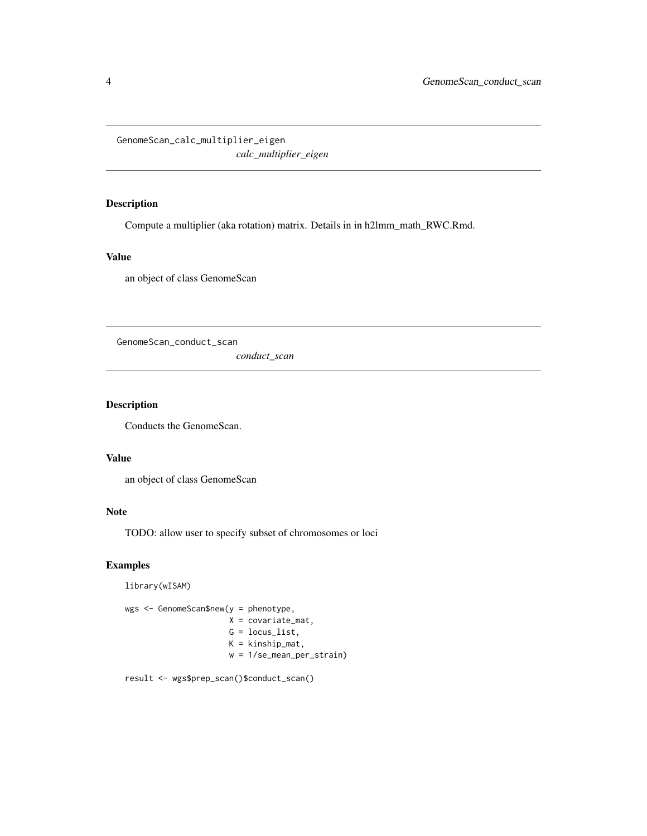<span id="page-3-0"></span>GenomeScan\_calc\_multiplier\_eigen *calc\_multiplier\_eigen*

#### Description

Compute a multiplier (aka rotation) matrix. Details in in h2lmm\_math\_RWC.Rmd.

#### Value

an object of class GenomeScan

GenomeScan\_conduct\_scan

*conduct\_scan*

#### Description

Conducts the GenomeScan.

#### Value

an object of class GenomeScan

#### Note

TODO: allow user to specify subset of chromosomes or loci

#### Examples

```
library(wISAM)
```

```
wgs <- GenomeScan$new(y = phenotype,
         X = covariate_mat,
         G = locus_list,
          K = kinship_mat,
          w = 1/se_mean_per_strain)
```
result <- wgs\$prep\_scan()\$conduct\_scan()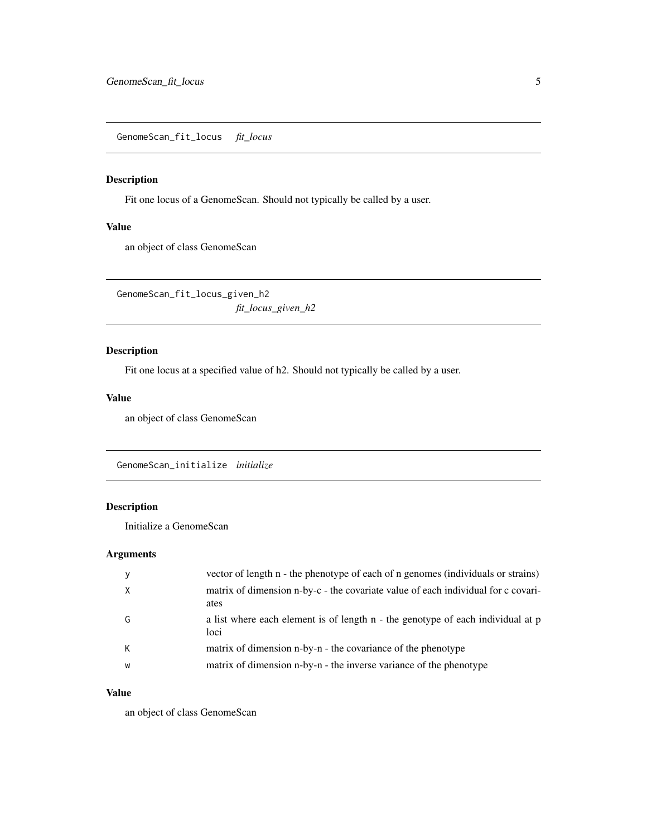<span id="page-4-0"></span>GenomeScan\_fit\_locus *fit\_locus*

#### Description

Fit one locus of a GenomeScan. Should not typically be called by a user.

#### Value

an object of class GenomeScan

GenomeScan\_fit\_locus\_given\_h2 *fit\_locus\_given\_h2*

#### Description

Fit one locus at a specified value of h2. Should not typically be called by a user.

#### Value

an object of class GenomeScan

GenomeScan\_initialize *initialize*

#### Description

Initialize a GenomeScan

#### Arguments

|   | vector of length n - the phenotype of each of n genomes (individuals or strains)          |
|---|-------------------------------------------------------------------------------------------|
|   | matrix of dimension n-by-c - the covariate value of each individual for c covari-<br>ates |
| G | a list where each element is of length n - the genotype of each individual at p<br>loci   |
| К | matrix of dimension n-by-n - the covariance of the phenotype                              |
| W | matrix of dimension n-by-n - the inverse variance of the phenotype                        |
|   |                                                                                           |

#### Value

an object of class GenomeScan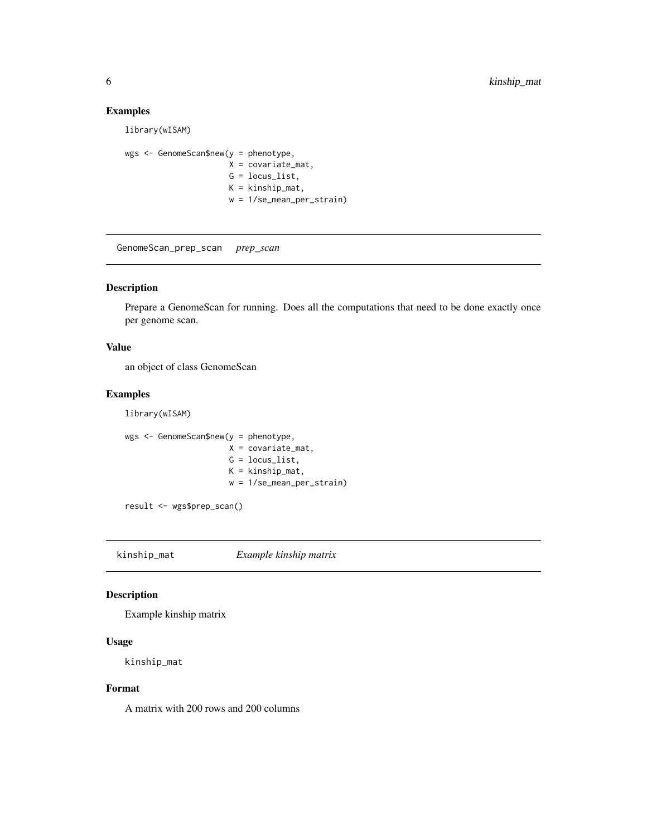#### Examples

library(wISAM)

```
wgs <- GenomeScan$new(y = phenotype,
          X = covariate_mat,
           G = \text{locus\_list},
           K = kinship_mat,
           w = 1/se_mean_per_strain)
```
GenomeScan\_prep\_scan *prep\_scan*

#### Description

Prepare a GenomeScan for running. Does all the computations that need to be done exactly once per genome scan.

#### Value

an object of class GenomeScan

#### Examples

library(wISAM)

```
wgs <- GenomeScan$new(y = phenotype,
           X = covariate_mat,
           G = \text{locus\_list},K = kinship_mat,
           w = 1/se_mean_per_strain)
```
result <- wgs\$prep\_scan()

kinship\_mat *Example kinship matrix*

#### Description

Example kinship matrix

#### Usage

kinship\_mat

#### Format

A matrix with 200 rows and 200 columns

<span id="page-5-0"></span>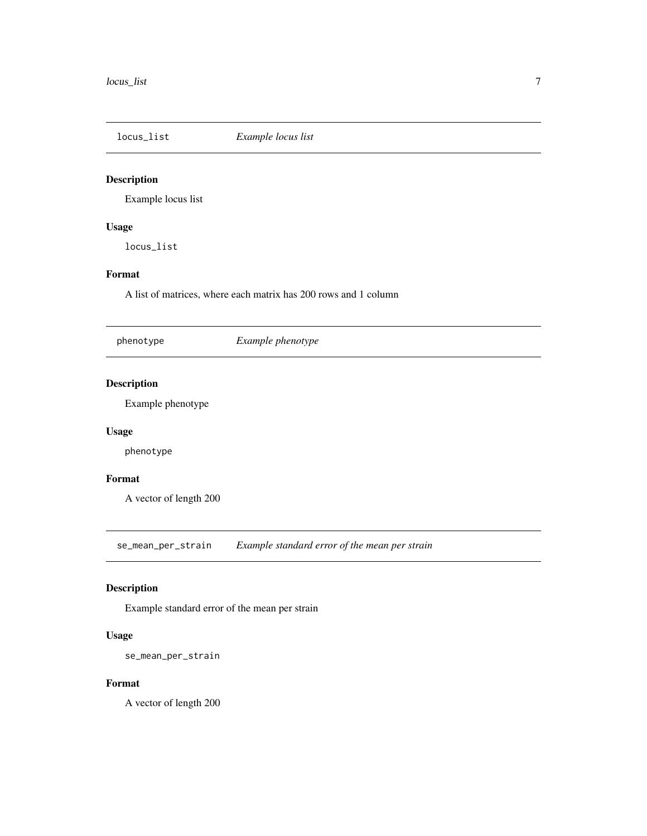<span id="page-6-0"></span>

#### Description

Example locus list

#### Usage

locus\_list

#### Format

A list of matrices, where each matrix has 200 rows and 1 column

phenotype *Example phenotype*

#### Description

Example phenotype

#### Usage

phenotype

#### Format

A vector of length 200

se\_mean\_per\_strain *Example standard error of the mean per strain*

#### Description

Example standard error of the mean per strain

#### Usage

```
se_mean_per_strain
```
#### Format

A vector of length 200